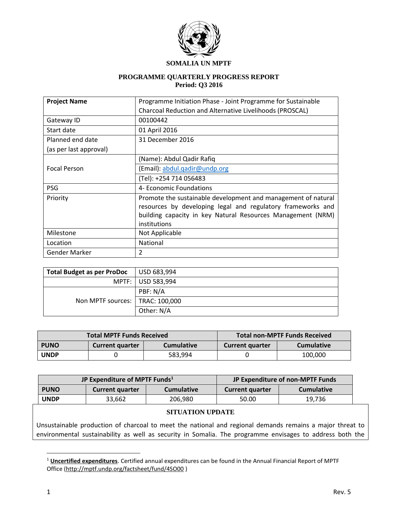

#### **SOMALIA UN MPTF**

#### **PROGRAMME QUARTERLY PROGRESS REPORT Period: Q3 2016**

| <b>Project Name</b>    | Programme Initiation Phase - Joint Programme for Sustainable                                                                                                                                                |  |  |
|------------------------|-------------------------------------------------------------------------------------------------------------------------------------------------------------------------------------------------------------|--|--|
|                        | Charcoal Reduction and Alternative Livelihoods (PROSCAL)                                                                                                                                                    |  |  |
| Gateway ID             | 00100442                                                                                                                                                                                                    |  |  |
| Start date             | 01 April 2016                                                                                                                                                                                               |  |  |
| Planned end date       | 31 December 2016                                                                                                                                                                                            |  |  |
| (as per last approval) |                                                                                                                                                                                                             |  |  |
|                        | (Name): Abdul Qadir Rafiq                                                                                                                                                                                   |  |  |
| <b>Focal Person</b>    | (Email): abdul.qadir@undp.org                                                                                                                                                                               |  |  |
|                        | (Tel): +254 714 056483                                                                                                                                                                                      |  |  |
| PSG                    | 4- Economic Foundations                                                                                                                                                                                     |  |  |
| Priority               | Promote the sustainable development and management of natural<br>resources by developing legal and regulatory frameworks and<br>building capacity in key Natural Resources Management (NRM)<br>institutions |  |  |
| Milestone              | Not Applicable                                                                                                                                                                                              |  |  |
| Location               | <b>National</b>                                                                                                                                                                                             |  |  |
| Gender Marker          | $\overline{2}$                                                                                                                                                                                              |  |  |

| Total Budget as per ProDoc        | USD 683,994       |
|-----------------------------------|-------------------|
|                                   | MPTF: USD 583,994 |
| Non MPTF sources:   TRAC: 100,000 | PBF: N/A          |
|                                   |                   |
|                                   | Other: N/A        |

| <b>Total MPTF Funds Received</b> |                        |                   | Total non-MPTF Funds Received |                   |
|----------------------------------|------------------------|-------------------|-------------------------------|-------------------|
| <b>PUNO</b>                      | <b>Current quarter</b> | <b>Cumulative</b> | <b>Current quarter</b>        | <b>Cumulative</b> |
| <b>UNDP</b>                      |                        | 583.994           |                               | 100,000           |

| JP Expenditure of MPTF Funds <sup>1</sup> |                        |                   | JP Expenditure of non-MPTF Funds |                   |
|-------------------------------------------|------------------------|-------------------|----------------------------------|-------------------|
| <b>PUNO</b>                               | <b>Current quarter</b> | <b>Cumulative</b> | <b>Current quarter</b>           | <b>Cumulative</b> |
| <b>UNDP</b>                               | 33,662                 | 206,980           | 50.00                            | 19.736            |

#### **SITUATION UPDATE**

Unsustainable production of charcoal to meet the national and regional demands remains a major threat to environmental sustainability as well as security in Somalia. The programme envisages to address both the

 $\overline{a}$ 

<sup>1</sup> **Uncertified expenditures**. Certified annual expenditures can be found in the Annual Financial Report of MPTF Office [\(http://mptf.undp.org/factsheet/fund/4SO00](http://mptf.undp.org/factsheet/fund/4SO00) )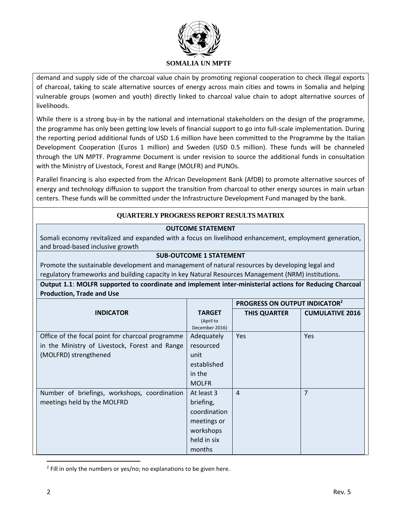

demand and supply side of the charcoal value chain by promoting regional cooperation to check illegal exports of charcoal, taking to scale alternative sources of energy across main cities and towns in Somalia and helping vulnerable groups (women and youth) directly linked to charcoal value chain to adopt alternative sources of livelihoods.

While there is a strong buy-in by the national and international stakeholders on the design of the programme, the programme has only been getting low levels of financial support to go into full-scale implementation. During the reporting period additional funds of USD 1.6 million have been committed to the Programme by the Italian Development Cooperation (Euros 1 million) and Sweden (USD 0.5 million). These funds will be channeled through the UN MPTF. Programme Document is under revision to source the additional funds in consultation with the Ministry of Livestock, Forest and Range (MOLFR) and PUNOs.

Parallel financing is also expected from the African Development Bank (AfDB) to promote alternative sources of energy and technology diffusion to support the transition from charcoal to other energy sources in main urban centers. These funds will be committed under the Infrastructure Development Fund managed by the bank.

### **QUARTERLY PROGRESS REPORT RESULTS MATRIX**

### **OUTCOME STATEMENT**

Somali economy revitalized and expanded with a focus on livelihood enhancement, employment generation, and broad-based inclusive growth

## **SUB-OUTCOME 1 STATEMENT**

Promote the sustainable development and management of natural resources by developing legal and regulatory frameworks and building capacity in key Natural Resources Management (NRM) institutions.

**Output 1.1**: **MOLFR supported to coordinate and implement inter-ministerial actions for Reducing Charcoal Production, Trade and Use**

|                                                  |                             | <b>PROGRESS ON OUTPUT INDICATOR2</b> |                        |
|--------------------------------------------------|-----------------------------|--------------------------------------|------------------------|
| <b>INDICATOR</b>                                 | <b>TARGET</b>               | <b>THIS QUARTER</b>                  | <b>CUMULATIVE 2016</b> |
|                                                  | (April to<br>December 2016) |                                      |                        |
| Office of the focal point for charcoal programme | Adequately                  | <b>Yes</b>                           | Yes                    |
| in the Ministry of Livestock, Forest and Range   | resourced                   |                                      |                        |
| (MOLFRD) strengthened                            | unit                        |                                      |                        |
|                                                  | established                 |                                      |                        |
|                                                  | in the                      |                                      |                        |
|                                                  | <b>MOLFR</b>                |                                      |                        |
| Number of briefings, workshops, coordination     | At least 3                  | $\overline{4}$                       | $\overline{7}$         |
| meetings held by the MOLFRD                      | briefing,                   |                                      |                        |
|                                                  | coordination                |                                      |                        |
|                                                  | meetings or                 |                                      |                        |
|                                                  | workshops                   |                                      |                        |
|                                                  | held in six                 |                                      |                        |
|                                                  | months                      |                                      |                        |

<sup>&</sup>lt;sup>2</sup> Fill in only the numbers or yes/no; no explanations to be given here.

 $\overline{\phantom{a}}$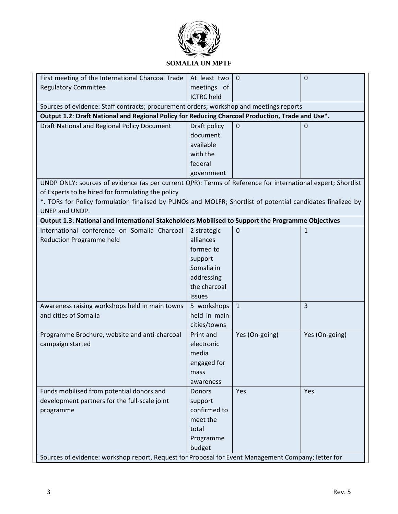

## **SOMALIA UN MPTF**

| First meeting of the International Charcoal Trade                                                           | At least two      | $\mathbf{0}$   | $\overline{0}$ |
|-------------------------------------------------------------------------------------------------------------|-------------------|----------------|----------------|
| <b>Regulatory Committee</b>                                                                                 | meetings of       |                |                |
|                                                                                                             | <b>ICTRC</b> held |                |                |
| Sources of evidence: Staff contracts; procurement orders; workshop and meetings reports                     |                   |                |                |
| Output 1.2: Draft National and Regional Policy for Reducing Charcoal Production, Trade and Use*.            |                   |                |                |
| Draft National and Regional Policy Document                                                                 | Draft policy      | $\mathbf 0$    | 0              |
|                                                                                                             | document          |                |                |
|                                                                                                             | available         |                |                |
|                                                                                                             | with the          |                |                |
|                                                                                                             | federal           |                |                |
|                                                                                                             | government        |                |                |
| UNDP ONLY: sources of evidence (as per current QPR): Terms of Reference for international expert; Shortlist |                   |                |                |
| of Experts to be hired for formulating the policy                                                           |                   |                |                |
| *. TORs for Policy formulation finalised by PUNOs and MOLFR; Shortlist of potential candidates finalized by |                   |                |                |
| UNEP and UNDP.                                                                                              |                   |                |                |
| Output 1.3: National and International Stakeholders Mobilised to Support the Programme Objectives           |                   |                |                |
| International conference on Somalia Charcoal                                                                | 2 strategic       | $\mathbf 0$    | 1              |
| <b>Reduction Programme held</b>                                                                             | alliances         |                |                |
|                                                                                                             | formed to         |                |                |
|                                                                                                             | support           |                |                |
|                                                                                                             | Somalia in        |                |                |
|                                                                                                             | addressing        |                |                |
|                                                                                                             | the charcoal      |                |                |
|                                                                                                             | issues            |                |                |
| Awareness raising workshops held in main towns                                                              | 5 workshops       | $\mathbf{1}$   | $\overline{3}$ |
| and cities of Somalia                                                                                       | held in main      |                |                |
|                                                                                                             | cities/towns      |                |                |
| Programme Brochure, website and anti-charcoal                                                               | Print and         | Yes (On-going) | Yes (On-going) |
| campaign started                                                                                            | electronic        |                |                |
|                                                                                                             | media             |                |                |
|                                                                                                             | engaged for       |                |                |
|                                                                                                             | mass              |                |                |
|                                                                                                             | awareness         |                |                |
| Funds mobilised from potential donors and                                                                   | <b>Donors</b>     | Yes            | Yes            |
| development partners for the full-scale joint                                                               | support           |                |                |
| programme                                                                                                   | confirmed to      |                |                |
|                                                                                                             | meet the          |                |                |
|                                                                                                             | total             |                |                |
|                                                                                                             | Programme         |                |                |
|                                                                                                             | budget            |                |                |
| Sources of evidence: workshop report, Request for Proposal for Event Management Company; letter for         |                   |                |                |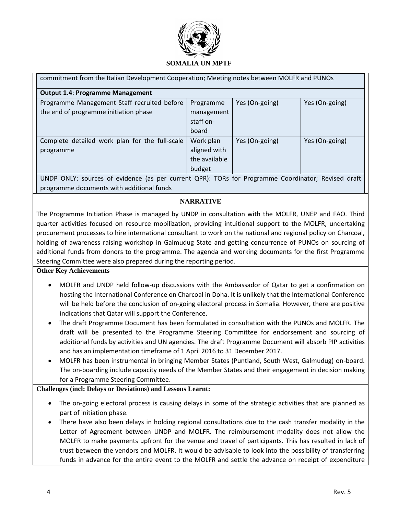

| <b>Output 1.4: Programme Management</b>                                                            |               |                |                |  |
|----------------------------------------------------------------------------------------------------|---------------|----------------|----------------|--|
| Programme Management Staff recruited before                                                        | Programme     | Yes (On-going) | Yes (On-going) |  |
| the end of programme initiation phase                                                              | management    |                |                |  |
|                                                                                                    | staff on-     |                |                |  |
|                                                                                                    | board         |                |                |  |
| Complete detailed work plan for the full-scale                                                     | Work plan     | Yes (On-going) | Yes (On-going) |  |
| programme                                                                                          | aligned with  |                |                |  |
|                                                                                                    | the available |                |                |  |
|                                                                                                    | budget        |                |                |  |
| UNDP ONLY: sources of evidence (as per current QPR): TORs for Programme Coordinator; Revised draft |               |                |                |  |

programme documents with additional funds

### **NARRATIVE**

The Programme Initiation Phase is managed by UNDP in consultation with the MOLFR, UNEP and FAO. Third quarter activities focused on resource mobilization, providing intuitional support to the MOLFR, undertaking procurement processes to hire international consultant to work on the national and regional policy on Charcoal, holding of awareness raising workshop in Galmudug State and getting concurrence of PUNOs on sourcing of additional funds from donors to the programme. The agenda and working documents for the first Programme Steering Committee were also prepared during the reporting period.

#### **Other Key Achievements**

- MOLFR and UNDP held follow-up discussions with the Ambassador of Qatar to get a confirmation on hosting the International Conference on Charcoal in Doha. It is unlikely that the International Conference will be held before the conclusion of on-going electoral process in Somalia. However, there are positive indications that Qatar will support the Conference.
- The draft Programme Document has been formulated in consultation with the PUNOs and MOLFR. The draft will be presented to the Programme Steering Committee for endorsement and sourcing of additional funds by activities and UN agencies. The draft Programme Document will absorb PIP activities and has an implementation timeframe of 1 April 2016 to 31 December 2017.
- MOLFR has been instrumental in bringing Member States (Puntland, South West, Galmudug) on-board. The on-boarding include capacity needs of the Member States and their engagement in decision making for a Programme Steering Committee.

#### **Challenges (incl: Delays or Deviations) and Lessons Learnt:**

- The on-going electoral process is causing delays in some of the strategic activities that are planned as part of initiation phase.
- There have also been delays in holding regional consultations due to the cash transfer modality in the Letter of Agreement between UNDP and MOLFR. The reimbursement modality does not allow the MOLFR to make payments upfront for the venue and travel of participants. This has resulted in lack of trust between the vendors and MOLFR. It would be advisable to look into the possibility of transferring funds in advance for the entire event to the MOLFR and settle the advance on receipt of expenditure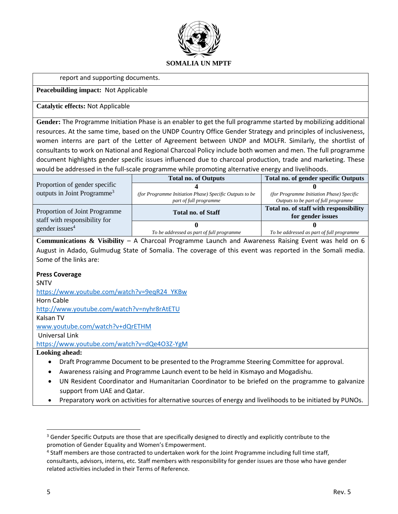

#### report and supporting documents.

#### **Peacebuilding impact:** Not Applicable

#### **Catalytic effects:** Not Applicable

**Gender:** The Programme Initiation Phase is an enabler to get the full programme started by mobilizing additional resources. At the same time, based on the UNDP Country Office Gender Strategy and principles of inclusiveness, women interns are part of the Letter of Agreement between UNDP and MOLFR. Similarly, the shortlist of consultants to work on National and Regional Charcoal Policy include both women and men. The full programme document highlights gender specific issues influenced due to charcoal production, trade and marketing. These would be addressed in the full-scale programme while promoting alternative energy and livelihoods.

|                                                             | <b>Total no. of Outputs</b>                             | Total no. of gender specific Outputs      |
|-------------------------------------------------------------|---------------------------------------------------------|-------------------------------------------|
| Proportion of gender specific                               |                                                         |                                           |
| outputs in Joint Programme <sup>3</sup>                     | (for Programme Initiation Phase) Specific Outputs to be | (for Programme Initiation Phase) Specific |
|                                                             | part of full programme                                  | Outputs to be part of full programme      |
| Proportion of Joint Programme                               | <b>Total no. of Staff</b>                               | Total no. of staff with responsibility    |
| staff with responsibility for<br>gender issues <sup>4</sup> |                                                         | for gender issues                         |
|                                                             |                                                         |                                           |
|                                                             | To be addressed as part of full programme               | To be addressed as part of full programme |

**Communications & Visibility** – A Charcoal Programme Launch and Awareness Raising Event was held on 6 August in Adado, Gulmudug State of Somalia. The coverage of this event was reported in the Somali media. Some of the links are:

#### **Press Coverage**

SNTV [https://www.youtube.com/watch?v=9eqR24\\_YKBw](https://www.youtube.com/watch?v=9eqR24_YKBw) Horn Cable <http://www.youtube.com/watch?v=nyhr8rAtETU> Kalsan TV [www.youtube.com/watch?v+dQrETHM](http://www.youtube.com/watch?v+dQrETHM) Universal Link <https://www.youtube.com/watch?v=dQe4O3Z-YgM>

**Looking ahead:**

- Draft Programme Document to be presented to the Programme Steering Committee for approval.
- Awareness raising and Programme Launch event to be held in Kismayo and Mogadishu.
- UN Resident Coordinator and Humanitarian Coordinator to be briefed on the programme to galvanize support from UAE and Qatar.
- Preparatory work on activities for alternative sources of energy and livelihoods to be initiated by PUNOs.

 $\overline{\phantom{a}}$ 

<sup>&</sup>lt;sup>3</sup> Gender Specific Outputs are those that are specifically designed to directly and explicitly contribute to the promotion of Gender Equality and Women's Empowerment.

<sup>&</sup>lt;sup>4</sup> Staff members are those contracted to undertaken work for the Joint Programme including full time staff, consultants, advisors, interns, etc. Staff members with responsibility for gender issues are those who have gender related activities included in their Terms of Reference.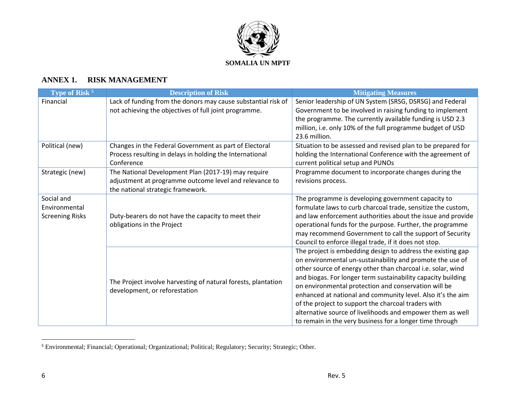

## **ANNEX 1. RISK MANAGEMENT**

| Type of Risk <sup>5</sup> | <b>Description of Risk</b>                                    | <b>Mitigating Measures</b>                                   |
|---------------------------|---------------------------------------------------------------|--------------------------------------------------------------|
| Financial                 | Lack of funding from the donors may cause substantial risk of | Senior leadership of UN System (SRSG, DSRSG) and Federal     |
|                           | not achieving the objectives of full joint programme.         | Government to be involved in raising funding to implement    |
|                           |                                                               | the programme. The currently available funding is USD 2.3    |
|                           |                                                               | million, i.e. only 10% of the full programme budget of USD   |
|                           |                                                               | 23.6 million.                                                |
| Political (new)           | Changes in the Federal Government as part of Electoral        | Situation to be assessed and revised plan to be prepared for |
|                           | Process resulting in delays in holding the International      | holding the International Conference with the agreement of   |
|                           | Conference                                                    | current political setup and PUNOs                            |
| Strategic (new)           | The National Development Plan (2017-19) may require           | Programme document to incorporate changes during the         |
|                           | adjustment at programme outcome level and relevance to        | revisions process.                                           |
|                           | the national strategic framework.                             |                                                              |
| Social and                |                                                               | The programme is developing government capacity to           |
| Environmental             |                                                               | formulate laws to curb charcoal trade, sensitize the custom, |
| <b>Screening Risks</b>    | Duty-bearers do not have the capacity to meet their           | and law enforcement authorities about the issue and provide  |
|                           | obligations in the Project                                    | operational funds for the purpose. Further, the programme    |
|                           |                                                               | may recommend Government to call the support of Security     |
|                           |                                                               | Council to enforce illegal trade, if it does not stop.       |
|                           |                                                               | The project is embedding design to address the existing gap  |
|                           |                                                               | on environmental un-sustainability and promote the use of    |
|                           |                                                               | other source of energy other than charcoal i.e. solar, wind  |
|                           | The Project involve harvesting of natural forests, plantation | and biogas. For longer term sustainability capacity building |
|                           | development, or reforestation                                 | on environmental protection and conservation will be         |
|                           |                                                               | enhanced at national and community level. Also it's the aim  |
|                           |                                                               | of the project to support the charcoal traders with          |
|                           |                                                               | alternative source of livelihoods and empower them as well   |
|                           |                                                               | to remain in the very business for a longer time through     |

<sup>&</sup>lt;sup>5</sup> Environmental; Financial; Operational; Organizational; Political; Regulatory; Security; Strategic; Other.

 $\overline{a}$